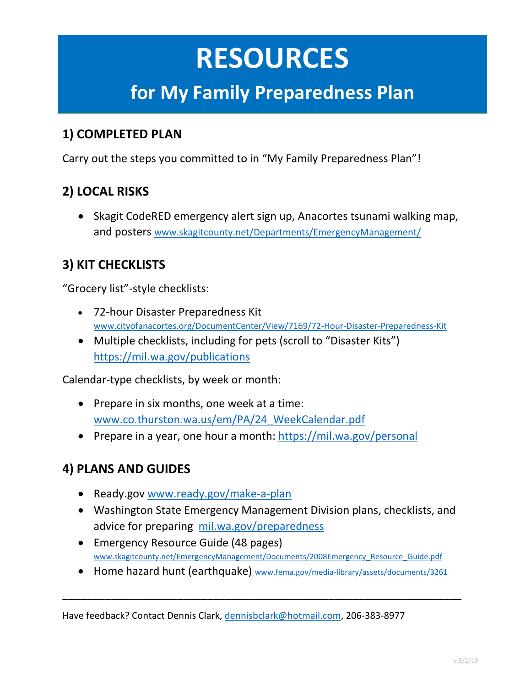# **RESOURCES**

### **for My Family Preparedness Plan**

#### **1) COMPLETED PLAN**

Carry out the steps you committed to in "My Family Preparedness Plan"!

### **2) LOCAL RISKS**

• Skagit CodeRED emergency alert sign up, Anacortes tsunami walking map, and posters [www.skagitcounty.net/Departments/EmergencyManagement/](http://www.skagitcounty.net/Departments/EmergencyManagement/)

### **3) KIT CHECKLISTS**

"Grocery list"-style checklists:

- 72-hour Disaster Preparedness Kit [www.cityofanacortes.org/DocumentCenter/View/7169/72-Hour-Disaster-Preparedness-Kit](http://www.cityofanacortes.org/DocumentCenter/View/7169/72-Hour-Disaster-Preparedness-Kit)
- Multiple checklists, including for pets (scroll to "Disaster Kits") <https://mil.wa.gov/publications>

Calendar-type checklists, by week or month:

- Prepare in six months, one week at a time: [www.co.thurston.wa.us/em/PA/24\\_WeekCalendar.pdf](http://www.co.thurston.wa.us/em/PA/24_WeekCalendar.pdf)
- Prepare in a year, one hour a month:<https://mil.wa.gov/personal>

### **4) PLANS AND GUIDES**

- Ready.gov [www.ready.gov/make-a-plan](http://www.ready.gov/make-a-plan)
- Washington State Emergency Management Division plans, checklists, and advice for preparing [mil.wa.gov/preparedness](https://mil.wa.gov/preparedness)
- Emergency Resource Guide (48 pages) [www.skagitcounty.net/EmergencyManagement/Documents/2008Emergency\\_Resource\\_Guide.pdf](http://www.skagitcounty.net/EmergencyManagement/Documents/2008Emergency_Resource_Guide.pdf)
- Home hazard hunt (earthquake) [www.fema.gov/media-library/assets/documents/3261](http://www.fema.gov/media-library/assets/documents/3261)

\_\_\_\_\_\_\_\_\_\_\_\_\_\_\_\_\_\_\_\_\_\_\_\_\_\_\_\_\_\_\_\_\_\_\_\_\_\_\_\_\_\_\_\_\_\_\_\_\_\_\_\_\_\_\_\_\_\_\_\_\_\_\_\_\_\_

Have feedback? Contact Dennis Clark, [dennisbclark@hotmail.com,](mailto:dennisbclark@hotmail.com) 206-383-8977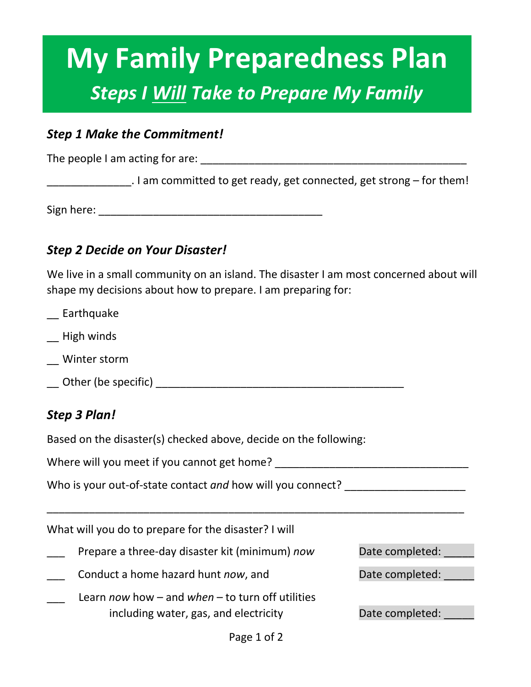# **My Family Preparedness Plan** *Steps I Will Take to Prepare My Family*

#### *Step 1 Make the Commitment!*

The people I am acting for are: \_\_\_\_\_\_\_\_\_\_\_\_\_\_\_\_\_\_\_\_\_\_\_\_\_\_\_\_\_\_\_\_\_\_\_\_\_\_\_\_\_\_\_\_

. I am committed to get ready, get connected, get strong – for them!

Sign here: **Example 20** and 20 and 20 and 20 and 20 and 20 and 20 and 20 and 20 and 20 and 20 and 20 and 20 and 20 and 20 and 20 and 20 and 20 and 20 and 20 and 20 and 20 and 20 and 20 and 20 and 20 and 20 and 20 and 20 an

#### *Step 2 Decide on Your Disaster!*

We live in a small community on an island. The disaster I am most concerned about will shape my decisions about how to prepare. I am preparing for:

- \_\_ Earthquake
- \_\_ High winds
- \_\_ Winter storm
- \_\_ Other (be specific) \_\_\_\_\_\_\_\_\_\_\_\_\_\_\_\_\_\_\_\_\_\_\_\_\_\_\_\_\_\_\_\_\_\_\_\_\_\_\_\_\_

#### *Step 3 Plan!*

Based on the disaster(s) checked above, decide on the following:

Where will you meet if you cannot get home?

Who is your out-of-state contact *and* how will you connect?

What will you do to prepare for the disaster? I will

- Prepare a three-day disaster kit (minimum) *now* Date completed:
- $\Box$  Conduct a home hazard hunt *now*, and  $\Box$  Date completed:  $\Box$
- \_\_\_ Learn *now* how and *when* to turn off utilities including water, gas, and electricity The Date completed:

\_\_\_\_\_\_\_\_\_\_\_\_\_\_\_\_\_\_\_\_\_\_\_\_\_\_\_\_\_\_\_\_\_\_\_\_\_\_\_\_\_\_\_\_\_\_\_\_\_\_\_\_\_\_\_\_\_\_\_\_\_\_\_\_\_\_\_\_\_